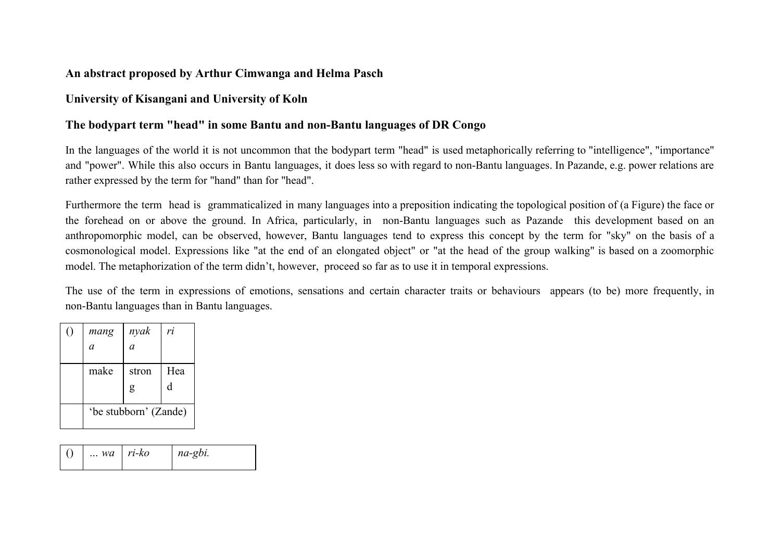## **An abstract proposed by Arthur Cimwanga and Helma Pasch**

## **University of Kisangani and University of Koln**

## The bodypart term "head" in some Bantu and non-Bantu languages of DR Congo

In the languages of the world it is not uncommon that the bodypart term "head" is used metaphorically referring to "intelligence", "importance" and "power". While this also occurs in Bantu languages, it does less so with regard to non-Bantu languages. In Pazande, e.g. power relations are rather expressed by the term for "hand" than for "head".

Furthermore the term head is grammaticalized in many languages into a preposition indicating the topological position of (a Figure) the face or the forehead on or above the ground. In Africa, particularly, in non-Bantu languages such as Pazande this development based on an anthropomorphic model, can be observed, however, Bantu languages tend to express this concept by the term for "sky" on the basis of a cosmonological model. Expressions like "at the end of an elongated object" or "at the head of the group walking" is based on a zoomorphic model. The metaphorization of the term didn't, however, proceed so far as to use it in temporal expressions.

The use of the term in expressions of emotions, sensations and certain character traits or behaviours appears (to be) more frequently, in non-Bantu languages than in Bantu languages.

| ( ) | mang                  | nyak       | ri       |
|-----|-----------------------|------------|----------|
|     | a                     | a          |          |
|     | make                  | stron<br>g | Hea<br>d |
|     | 'be stubborn' (Zande) |            |          |

| $\Box$ wa   ri-ko | $na$ -gbi. |  |
|-------------------|------------|--|
|                   |            |  |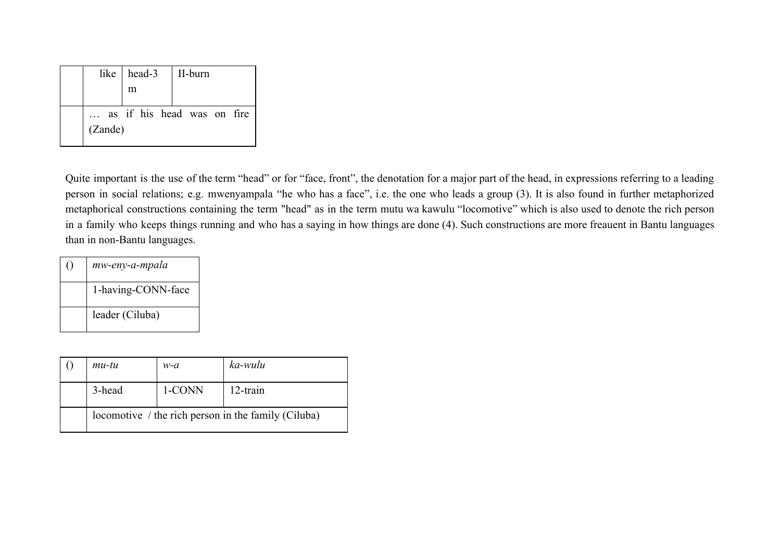|         | like   head-3 | II-burn                    |  |
|---------|---------------|----------------------------|--|
|         | m             |                            |  |
| (Zande) |               | as if his head was on fire |  |

Quite important is the use of the term "head" or for "face, front", the denotation for a major part of the head, in expressions referring to a leading person in social relations; e.g. mwenyampala "he who has a face", i.e. the one who leads a group (3). It is also found in further metaphorized metaphorical constructions containing the term "head" as in the term mutu wa kawulu "locomotive" which is also used to denote the rich person in a family who keeps things running and who has a saying in how things are done (4). Such constructions are more freauent in Bantu languages than in non-Bantu languages.

| $\left( \ \right)$ | mw-eny-a-mpala     |
|--------------------|--------------------|
|                    | 1-having-CONN-face |
|                    | leader (Ciluba)    |

|  | $mu-tu$ | $w-a$  | ka-wulu                                             |
|--|---------|--------|-----------------------------------------------------|
|  | 3-head  | 1-CONN | $12$ -train                                         |
|  |         |        | locomotive / the rich person in the family (Ciluba) |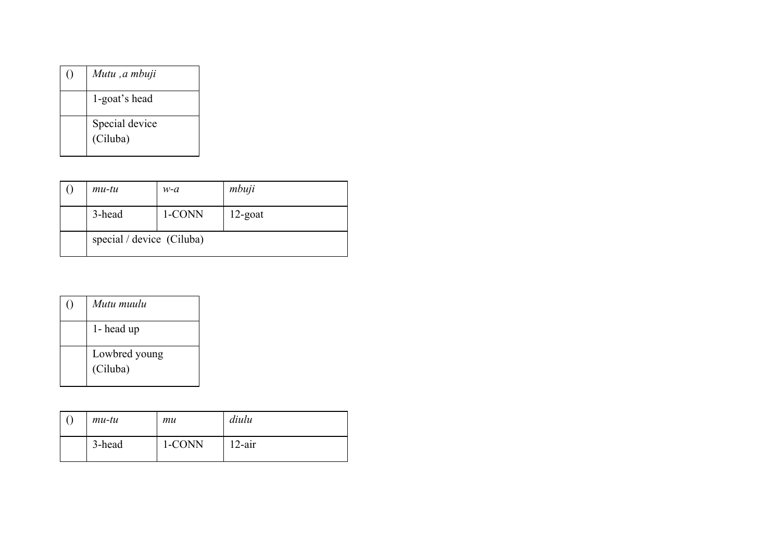| Mutu, a mbuji              |
|----------------------------|
| 1-goat's head              |
| Special device<br>(Ciluba) |

| $mu-tu$                   | w-a    | mbuji      |
|---------------------------|--------|------------|
| 3-head                    | 1-CONN | $12$ -goat |
| special / device (Ciluba) |        |            |

| ( ) | Mutu muulu                |
|-----|---------------------------|
|     | 1- head up                |
|     | Lowbred young<br>(Ciluba) |

| $mu-tu$ | mи     | diulu     |
|---------|--------|-----------|
| 3-head  | 1-CONN | $12$ -air |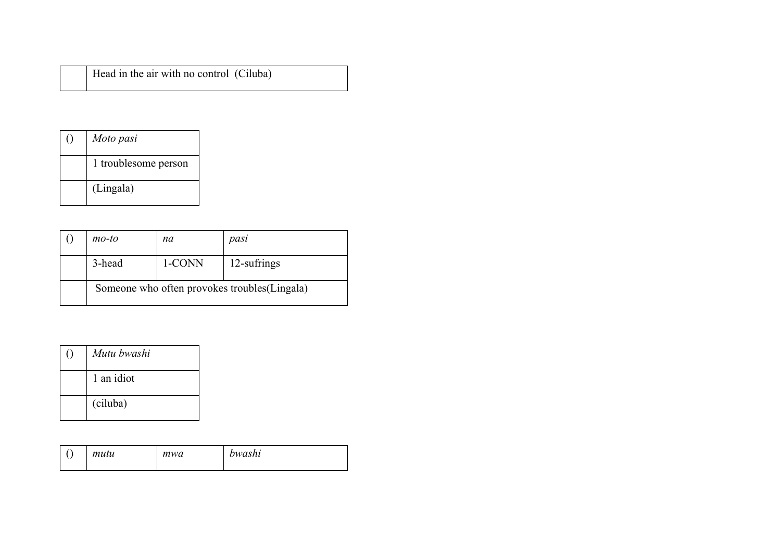| Moto pasi            |
|----------------------|
| 1 troublesome person |
| (Lingala)            |

| $mo$ -to | na     | pasi                                          |
|----------|--------|-----------------------------------------------|
| 3-head   | 1-CONN | 12-sufrings                                   |
|          |        | Someone who often provokes troubles (Lingala) |

| Mutu bwashi |  |
|-------------|--|
| 1 an idiot  |  |
| (ciluba)    |  |

| ◡ | mutu | mwa | bwashi |
|---|------|-----|--------|
|   |      |     |        |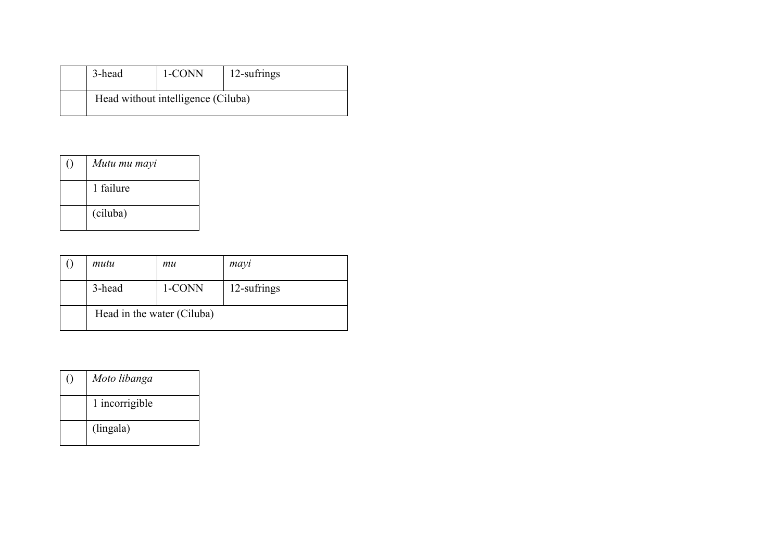| 3-head | 1-CONN                             | 12-sufrings |
|--------|------------------------------------|-------------|
|        | Head without intelligence (Ciluba) |             |

| Mutu mu mayi |  |
|--------------|--|
| 1 failure    |  |
| (ciluba)     |  |

| mutu                       | mu     | mayi        |
|----------------------------|--------|-------------|
| 3-head                     | 1-CONN | 12-sufrings |
| Head in the water (Ciluba) |        |             |

| Moto libanga   |  |
|----------------|--|
| 1 incorrigible |  |
| (lingala)      |  |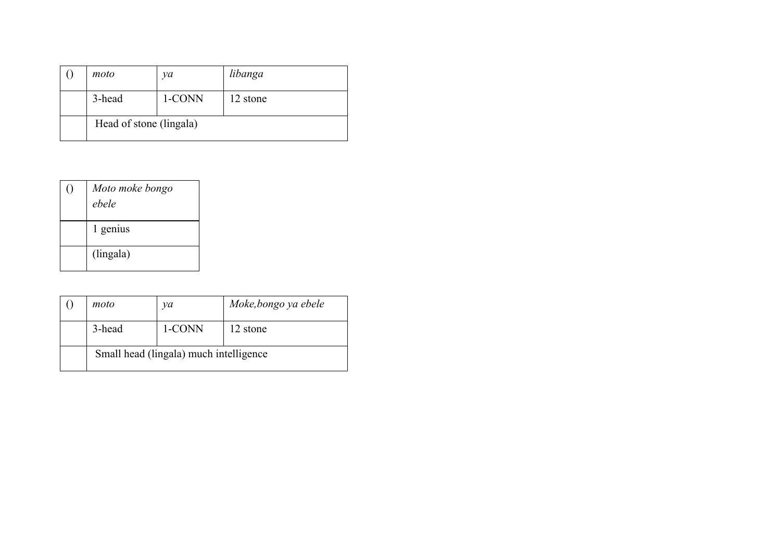| moto                    | νa     | libanga  |
|-------------------------|--------|----------|
| 3-head                  | 1-CONN | 12 stone |
| Head of stone (lingala) |        |          |

| Moto moke bongo<br>ehele |  |
|--------------------------|--|
| 1 genius                 |  |
| (lingala)                |  |

| moto                                   | νa     | Moke, bongo ya ebele |
|----------------------------------------|--------|----------------------|
| 3-head                                 | 1-CONN | 12 stone             |
| Small head (lingala) much intelligence |        |                      |